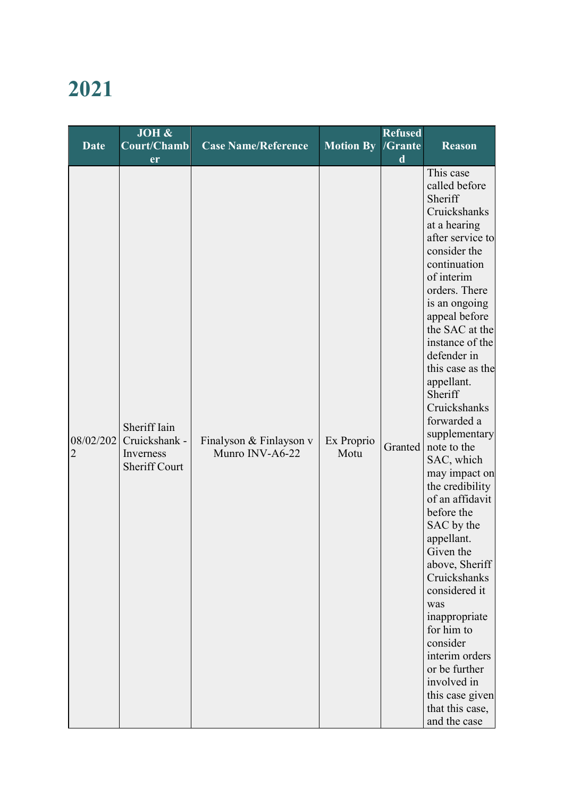## 2021

| Date                        | $\overline{\text{JOH}}$ &<br><b>Court/Chamb</b>                    | <b>Case Name/Reference</b>                 | <b>Motion By</b>   | <b>Refused</b><br>/Grante | <b>Reason</b>                                                                                                                                                                                                                                                                                                                                                                                                                                                                                                                                                                                                                                                                          |
|-----------------------------|--------------------------------------------------------------------|--------------------------------------------|--------------------|---------------------------|----------------------------------------------------------------------------------------------------------------------------------------------------------------------------------------------------------------------------------------------------------------------------------------------------------------------------------------------------------------------------------------------------------------------------------------------------------------------------------------------------------------------------------------------------------------------------------------------------------------------------------------------------------------------------------------|
|                             | er                                                                 |                                            |                    | d                         | This case                                                                                                                                                                                                                                                                                                                                                                                                                                                                                                                                                                                                                                                                              |
| 08/02/202<br>$\overline{2}$ | Sheriff Iain<br>Cruickshank -<br>Inverness<br><b>Sheriff Court</b> | Finalyson & Finlayson v<br>Munro INV-A6-22 | Ex Proprio<br>Motu | Granted                   | called before<br>Sheriff<br>Cruickshanks<br>at a hearing<br>after service to<br>consider the<br>continuation<br>of interim<br>orders. There<br>is an ongoing<br>appeal before<br>the SAC at the<br>instance of the<br>defender in<br>this case as the<br>appellant.<br>Sheriff<br>Cruickshanks<br>forwarded a<br>supplementary<br>note to the<br>SAC, which<br>may impact on<br>the credibility<br>of an affidavit<br>before the<br>SAC by the<br>appellant.<br>Given the<br>above, Sheriff<br>Cruickshanks<br>considered it<br>was<br>inappropriate<br>for him to<br>consider<br>interim orders<br>or be further<br>involved in<br>this case given<br>that this case,<br>and the case |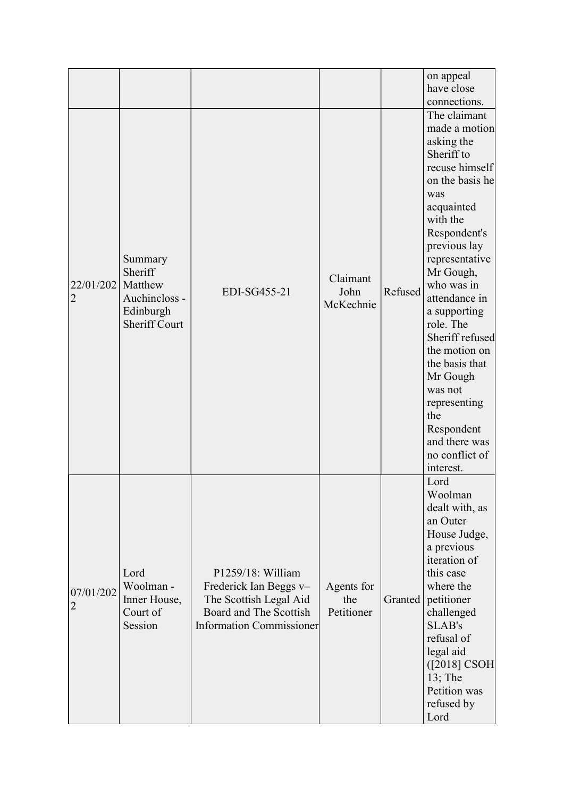|                             |                                                                                     |                                                                                                                                    |                                 |         | on appeal<br>have close<br>connections.                                                                                                                                                                                                                                                                                                                                                                                      |
|-----------------------------|-------------------------------------------------------------------------------------|------------------------------------------------------------------------------------------------------------------------------------|---------------------------------|---------|------------------------------------------------------------------------------------------------------------------------------------------------------------------------------------------------------------------------------------------------------------------------------------------------------------------------------------------------------------------------------------------------------------------------------|
| 22/01/202<br>2              | Summary<br>Sheriff<br>Matthew<br>Auchincloss -<br>Edinburgh<br><b>Sheriff Court</b> | EDI-SG455-21                                                                                                                       | Claimant<br>John<br>McKechnie   | Refused | The claimant<br>made a motion<br>asking the<br>Sheriff to<br>recuse himself<br>on the basis he<br>was<br>acquainted<br>with the<br>Respondent's<br>previous lay<br>representative<br>Mr Gough,<br>who was in<br>attendance in<br>a supporting<br>role. The<br>Sheriff refused<br>the motion on<br>the basis that<br>Mr Gough<br>was not<br>representing<br>the<br>Respondent<br>and there was<br>no conflict of<br>interest. |
| 07/01/202<br>$\overline{2}$ | Lord<br>Woolman -<br>Inner House,<br>Court of<br>Session                            | P1259/18: William<br>Frederick Ian Beggs v-<br>The Scottish Legal Aid<br>Board and The Scottish<br><b>Information Commissioner</b> | Agents for<br>the<br>Petitioner | Granted | Lord<br>Woolman<br>dealt with, as<br>an Outer<br>House Judge,<br>a previous<br>iteration of<br>this case<br>where the<br>petitioner<br>challenged<br><b>SLAB's</b><br>refusal of<br>legal aid<br>$([2018]$ CSOH<br>$13$ ; The<br>Petition was<br>refused by<br>Lord                                                                                                                                                          |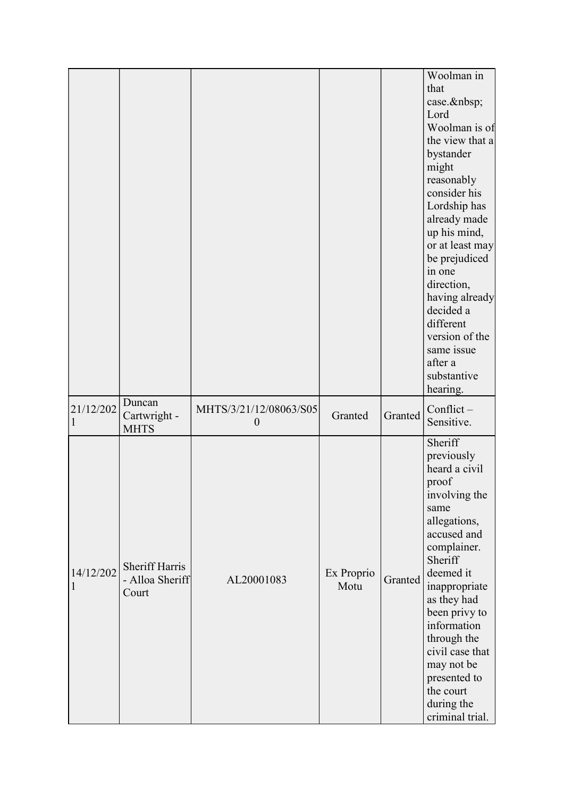|                |                                                   |                                            |                    |         | Woolman in<br>that<br>case.<br>Lord<br>Woolman is of<br>the view that a<br>bystander<br>might<br>reasonably<br>consider his<br>Lordship has<br>already made<br>up his mind,<br>or at least may<br>be prejudiced<br>in one<br>direction,<br>having already<br>decided a                                                       |
|----------------|---------------------------------------------------|--------------------------------------------|--------------------|---------|------------------------------------------------------------------------------------------------------------------------------------------------------------------------------------------------------------------------------------------------------------------------------------------------------------------------------|
|                |                                                   |                                            |                    |         | different<br>version of the<br>same issue<br>after a<br>substantive<br>hearing.                                                                                                                                                                                                                                              |
| 21/12/202      | Duncan<br>Cartwright -<br><b>MHTS</b>             | MHTS/3/21/12/08063/S05<br>$\boldsymbol{0}$ | Granted            | Granted | Conflict-<br>Sensitive.                                                                                                                                                                                                                                                                                                      |
| 14/12/202<br>1 | <b>Sheriff Harris</b><br>- Alloa Sheriff<br>Court | AL20001083                                 | Ex Proprio<br>Motu | Granted | Sheriff<br>previously<br>heard a civil<br>proof<br>involving the<br>same<br>allegations,<br>accused and<br>complainer.<br>Sheriff<br>deemed it<br>inappropriate<br>as they had<br>been privy to<br>information<br>through the<br>civil case that<br>may not be<br>presented to<br>the court<br>during the<br>criminal trial. |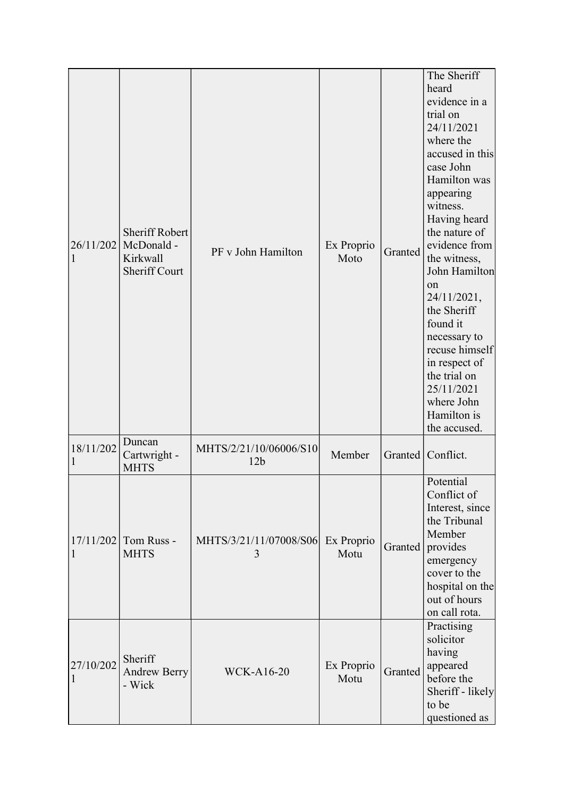| 26/11/202<br>$\mathbf{1}$ | <b>Sheriff Robert</b><br>McDonald -<br>Kirkwall<br><b>Sheriff Court</b> | PF v John Hamilton                        | Ex Proprio<br>Moto | Granted | The Sheriff<br>heard<br>evidence in a<br>trial on<br>24/11/2021<br>where the<br>accused in this<br>case John<br>Hamilton was<br>appearing<br>witness.<br>Having heard<br>the nature of<br>evidence from<br>the witness,<br>John Hamilton<br>on<br>24/11/2021,<br>the Sheriff<br>found it<br>necessary to<br>recuse himself<br>in respect of<br>the trial on<br>25/11/2021<br>where John<br>Hamilton is<br>the accused. |
|---------------------------|-------------------------------------------------------------------------|-------------------------------------------|--------------------|---------|------------------------------------------------------------------------------------------------------------------------------------------------------------------------------------------------------------------------------------------------------------------------------------------------------------------------------------------------------------------------------------------------------------------------|
| 18/11/202<br>1            | Duncan<br>Cartwright -<br><b>MHTS</b>                                   | MHTS/2/21/10/06006/S10<br>12 <sub>b</sub> | Member             | Granted | Conflict.                                                                                                                                                                                                                                                                                                                                                                                                              |
| 17/11/202<br>$\mathbf{1}$ | Tom Russ -<br><b>MHTS</b>                                               | MHTS/3/21/11/07008/S06<br>3               | Ex Proprio<br>Motu | Granted | Potential<br>Conflict of<br>Interest, since<br>the Tribunal<br>Member<br>provides<br>emergency<br>cover to the<br>hospital on the<br>out of hours<br>on call rota.                                                                                                                                                                                                                                                     |
| 27/10/202<br>$\mathbf{1}$ | Sheriff<br><b>Andrew Berry</b><br>- Wick                                | <b>WCK-A16-20</b>                         | Ex Proprio<br>Motu | Granted | Practising<br>solicitor<br>having<br>appeared<br>before the<br>Sheriff - likely<br>to be<br>questioned as                                                                                                                                                                                                                                                                                                              |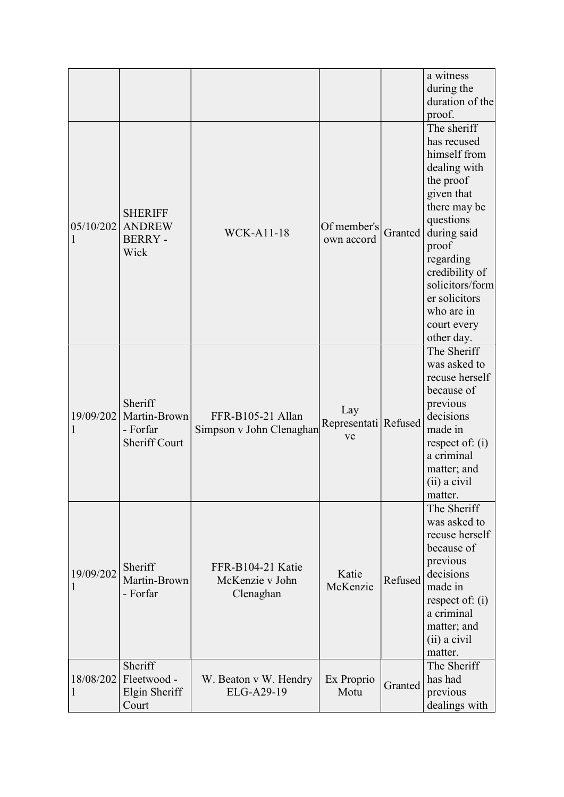|                           |                                                             |                                                   |                                   |         | a witness<br>during the<br>duration of the<br>proof.                                                                                                                                                                                                     |
|---------------------------|-------------------------------------------------------------|---------------------------------------------------|-----------------------------------|---------|----------------------------------------------------------------------------------------------------------------------------------------------------------------------------------------------------------------------------------------------------------|
| 05/10/202<br>1            | <b>SHERIFF</b><br><b>ANDREW</b><br><b>BERRY-</b><br>Wick    | <b>WCK-A11-18</b>                                 | Of member's<br>own accord         | Granted | The sheriff<br>has recused<br>himself from<br>dealing with<br>the proof<br>given that<br>there may be<br>questions<br>during said<br>proof<br>regarding<br>credibility of<br>solicitors/form<br>er solicitors<br>who are in<br>court every<br>other day. |
| 19/09/202<br>1            | Sheriff<br>Martin-Brown<br>- Forfar<br><b>Sheriff Court</b> | FFR-B105-21 Allan<br>Simpson v John Clenaghan     | Lay<br>Representati Refused<br>ve |         | The Sheriff<br>was asked to<br>recuse herself<br>because of<br>previous<br>decisions<br>made in<br>respect of: $(i)$<br>a criminal<br>matter; and<br>(ii) a civil<br>matter.                                                                             |
| 19/09/202                 | Sheriff<br>Martin-Brown<br>- Forfar                         | FFR-B104-21 Katie<br>McKenzie v John<br>Clenaghan | Katie<br>McKenzie                 | Refused | The Sheriff<br>was asked to<br>recuse herself<br>because of<br>previous<br>decisions<br>made in<br>respect of: $(i)$<br>a criminal<br>matter; and<br>(ii) a civil<br>matter.                                                                             |
| 18/08/202<br>$\mathbf{1}$ | Sheriff<br>Fleetwood -<br>Elgin Sheriff<br>Court            | W. Beaton v W. Hendry<br>ELG-A29-19               | Ex Proprio<br>Motu                | Granted | The Sheriff<br>has had<br>previous<br>dealings with                                                                                                                                                                                                      |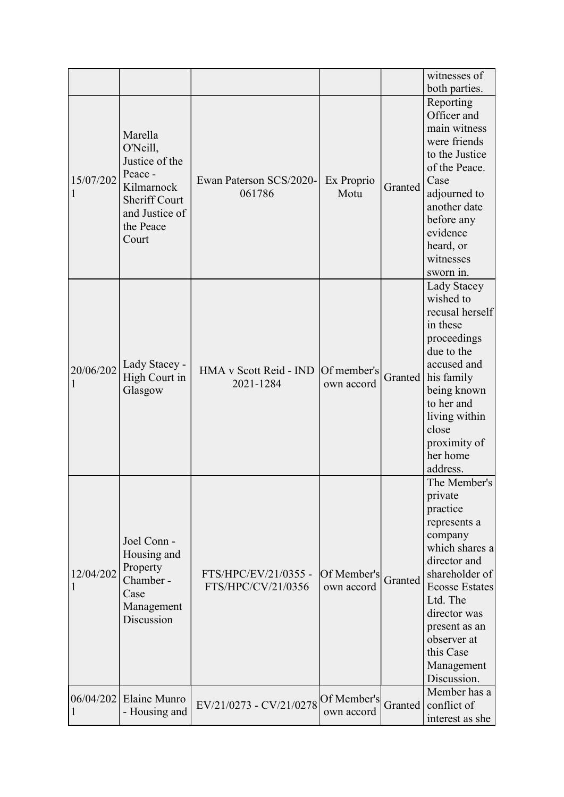|                |                                                                                                                                |                                            |                           |         | witnesses of<br>both parties.                                                                                                                                                                                                                     |
|----------------|--------------------------------------------------------------------------------------------------------------------------------|--------------------------------------------|---------------------------|---------|---------------------------------------------------------------------------------------------------------------------------------------------------------------------------------------------------------------------------------------------------|
| 15/07/202<br>1 | Marella<br>O'Neill,<br>Justice of the<br>Peace -<br>Kilmarnock<br><b>Sheriff Court</b><br>and Justice of<br>the Peace<br>Court | Ewan Paterson SCS/2020-<br>061786          | Ex Proprio<br>Motu        | Granted | Reporting<br>Officer and<br>main witness<br>were friends<br>to the Justice<br>of the Peace.<br>Case<br>adjourned to<br>another date<br>before any<br>evidence<br>heard, or<br>witnesses<br>sworn in.                                              |
| 20/06/202      | Lady Stacey -<br>High Court in<br>Glasgow                                                                                      | HMA v Scott Reid - IND<br>2021-1284        | Of member's<br>own accord | Granted | Lady Stacey<br>wished to<br>recusal herself<br>in these<br>proceedings<br>due to the<br>accused and<br>his family<br>being known<br>to her and<br>living within<br>close<br>proximity of<br>her home<br>address.                                  |
| 12/04/202      | Joel Conn -<br>Housing and<br>Property<br>Chamber -<br>Case<br>Management<br>Discussion                                        | FTS/HPC/EV/21/0355 -<br>FTS/HPC/CV/21/0356 | Of Member's<br>own accord | Granted | The Member's<br>private<br>practice<br>represents a<br>company<br>which shares a<br>director and<br>shareholder of<br><b>Ecosse Estates</b><br>Ltd. The<br>director was<br>present as an<br>observer at<br>this Case<br>Management<br>Discussion. |
| 06/04/202      | Elaine Munro<br>- Housing and                                                                                                  | EV/21/0273 - CV/21/0278 Of Member's        | own accord                | Granted | Member has a<br>conflict of<br>interest as she                                                                                                                                                                                                    |